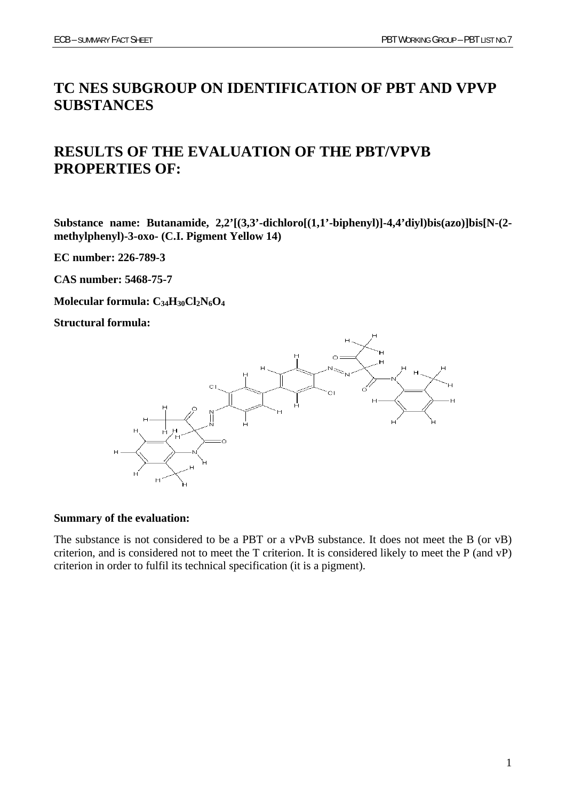# **TC NES SUBGROUP ON IDENTIFICATION OF PBT AND VPVP SUBSTANCES**

# **RESULTS OF THE EVALUATION OF THE PBT/VPVB PROPERTIES OF:**

**Substance name: Butanamide, 2,2'[(3,3'-dichloro[(1,1'-biphenyl)]-4,4'diyl)bis(azo)]bis[N-(2 methylphenyl)-3-oxo- (C.I. Pigment Yellow 14)** 

**EC number: 226-789-3** 

**CAS number: 5468-75-7** 

**Molecular formula: C34H30Cl2N6O4**

**Structural formula:** 



#### **Summary of the evaluation:**

The substance is not considered to be a PBT or a vPvB substance. It does not meet the B (or vB) criterion, and is considered not to meet the T criterion. It is considered likely to meet the P (and vP) criterion in order to fulfil its technical specification (it is a pigment).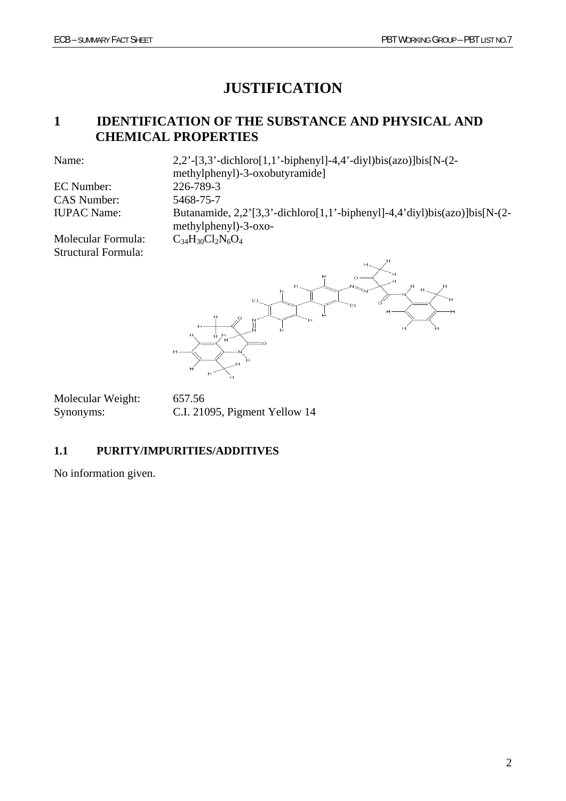# **JUSTIFICATION**

## **1 IDENTIFICATION OF THE SUBSTANCE AND PHYSICAL AND CHEMICAL PROPERTIES**

EC Number: 226-789-3 CAS Number: 5468-75-7

Name: 2,2'-[3,3'-dichloro[1,1'-biphenyl]-4,4'-diyl)bis(azo)]bis[N-(2 methylphenyl)-3-oxobutyramide] IUPAC Name: Butanamide, 2,2'[3,3'-dichloro[1,1'-biphenyl]-4,4'diyl)bis(azo)]bis[N-(2 methylphenyl)-3-oxo-

Molecular Formula:  $C_{34}H_{30}Cl_2N_6O_4$ Structural Formula:



Molecular Weight: 657.56

Synonyms: C.I. 21095, Pigment Yellow 14

## **1.1 PURITY/IMPURITIES/ADDITIVES**

No information given.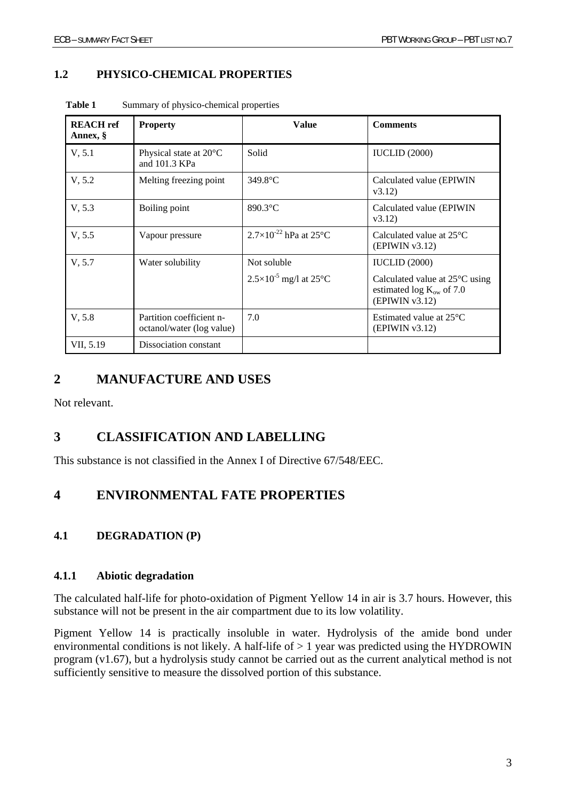## **1.2 PHYSICO-CHEMICAL PROPERTIES**

| <b>REACH</b> ref<br>Annex, § | <b>Property</b>                                       | <b>Value</b>                                   | <b>Comments</b>                                                                   |
|------------------------------|-------------------------------------------------------|------------------------------------------------|-----------------------------------------------------------------------------------|
| V, 5.1                       | Physical state at 20°C<br>and 101.3 KPa               | Solid                                          | <b>IUCLID</b> (2000)                                                              |
| V, 5.2                       | Melting freezing point                                | 349.8°C                                        | Calculated value (EPIWIN<br>v3.12                                                 |
| V, 5.3                       | Boiling point                                         | $890.3$ °C                                     | Calculated value (EPIWIN<br>v3.12                                                 |
| V, 5.5                       | Vapour pressure                                       | $2.7\times10^{-22}$ hPa at 25°C                | Calculated value at $25^{\circ}$ C<br>(EPIWIN v3.12)                              |
| V, 5.7                       | Water solubility                                      | Not soluble                                    | <b>IUCLID</b> (2000)                                                              |
|                              |                                                       | $2.5 \times 10^{-5}$ mg/l at 25 <sup>o</sup> C | Calculated value at 25°C using<br>estimated $log K_{ow}$ of 7.0<br>(EPIWIN v3.12) |
| V, 5.8                       | Partition coefficient n-<br>octanol/water (log value) | 7.0                                            | Estimated value at $25^{\circ}$ C<br>(EPIWIN v3.12)                               |
| VII, 5.19                    | Dissociation constant                                 |                                                |                                                                                   |

Table 1 Summary of physico-chemical properties

# **2 MANUFACTURE AND USES**

Not relevant.

# **3 CLASSIFICATION AND LABELLING**

This substance is not classified in the Annex I of Directive 67/548/EEC.

## **4 ENVIRONMENTAL FATE PROPERTIES**

## **4.1 DEGRADATION (P)**

#### **4.1.1 Abiotic degradation**

The calculated half-life for photo-oxidation of Pigment Yellow 14 in air is 3.7 hours. However, this substance will not be present in the air compartment due to its low volatility.

Pigment Yellow 14 is practically insoluble in water. Hydrolysis of the amide bond under environmental conditions is not likely. A half-life of  $> 1$  year was predicted using the HYDROWIN program (v1.67), but a hydrolysis study cannot be carried out as the current analytical method is not sufficiently sensitive to measure the dissolved portion of this substance.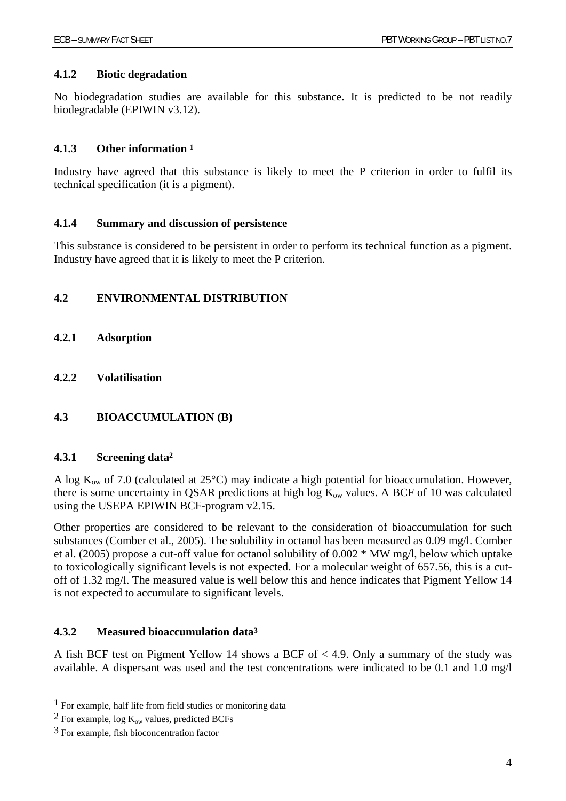### **4.1.2 Biotic degradation**

No biodegradation studies are available for this substance. It is predicted to be not readily biodegradable (EPIWIN v3.12).

#### **4.1.3 Other information 1**

Industry have agreed that this substance is likely to meet the P criterion in order to fulfil its technical specification (it is a pigment).

#### **4.1.4 Summary and discussion of persistence**

This substance is considered to be persistent in order to perform its technical function as a pigment. Industry have agreed that it is likely to meet the P criterion.

#### **4.2 ENVIRONMENTAL DISTRIBUTION**

- **4.2.1 Adsorption**
- **4.2.2 Volatilisation**

## **4.3 BIOACCUMULATION (B)**

#### **4.3.1 Screening data2**

A log  $K_{ow}$  of 7.0 (calculated at 25 $^{\circ}$ C) may indicate a high potential for bioaccumulation. However, there is some uncertainty in QSAR predictions at high log  $K_{ow}$  values. A BCF of 10 was calculated using the USEPA EPIWIN BCF-program v2.15.

Other properties are considered to be relevant to the consideration of bioaccumulation for such substances (Comber et al., 2005). The solubility in octanol has been measured as 0.09 mg/l. Comber et al. (2005) propose a cut-off value for octanol solubility of 0.002 \* MW mg/l, below which uptake to toxicologically significant levels is not expected. For a molecular weight of 657.56, this is a cutoff of 1.32 mg/l. The measured value is well below this and hence indicates that Pigment Yellow 14 is not expected to accumulate to significant levels.

#### **4.3.2 Measured bioaccumulation data3**

A fish BCF test on Pigment Yellow 14 shows a BCF of < 4.9. Only a summary of the study was available. A dispersant was used and the test concentrations were indicated to be 0.1 and 1.0 mg/l

 $\overline{a}$ 

<sup>1</sup> For example, half life from field studies or monitoring data

<sup>&</sup>lt;sup>2</sup> For example, log  $K_{ow}$  values, predicted BCFs

<sup>3</sup> For example, fish bioconcentration factor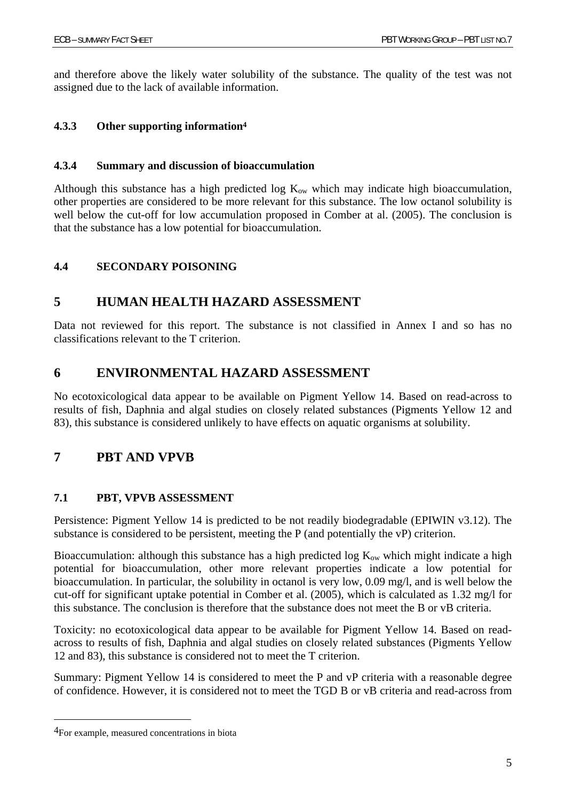and therefore above the likely water solubility of the substance. The quality of the test was not assigned due to the lack of available information.

### **4.3.3 Other supporting information4**

#### **4.3.4 Summary and discussion of bioaccumulation**

Although this substance has a high predicted log  $K_{ow}$  which may indicate high bioaccumulation, other properties are considered to be more relevant for this substance. The low octanol solubility is well below the cut-off for low accumulation proposed in Comber at al. (2005). The conclusion is that the substance has a low potential for bioaccumulation.

#### **4.4 SECONDARY POISONING**

## **5 HUMAN HEALTH HAZARD ASSESSMENT**

Data not reviewed for this report. The substance is not classified in Annex I and so has no classifications relevant to the T criterion.

## **6 ENVIRONMENTAL HAZARD ASSESSMENT**

No ecotoxicological data appear to be available on Pigment Yellow 14. Based on read-across to results of fish, Daphnia and algal studies on closely related substances (Pigments Yellow 12 and 83), this substance is considered unlikely to have effects on aquatic organisms at solubility.

## **7 PBT AND VPVB**

#### **7.1 PBT, VPVB ASSESSMENT**

Persistence: Pigment Yellow 14 is predicted to be not readily biodegradable (EPIWIN v3.12). The substance is considered to be persistent, meeting the P (and potentially the vP) criterion.

Bioaccumulation: although this substance has a high predicted log  $K_{ow}$  which might indicate a high potential for bioaccumulation, other more relevant properties indicate a low potential for bioaccumulation. In particular, the solubility in octanol is very low, 0.09 mg/l, and is well below the cut-off for significant uptake potential in Comber et al. (2005), which is calculated as 1.32 mg/l for this substance. The conclusion is therefore that the substance does not meet the B or vB criteria.

Toxicity: no ecotoxicological data appear to be available for Pigment Yellow 14. Based on readacross to results of fish, Daphnia and algal studies on closely related substances (Pigments Yellow 12 and 83), this substance is considered not to meet the T criterion.

Summary: Pigment Yellow 14 is considered to meet the P and vP criteria with a reasonable degree of confidence. However, it is considered not to meet the TGD B or vB criteria and read-across from

<sup>4</sup>For example, measured concentrations in biota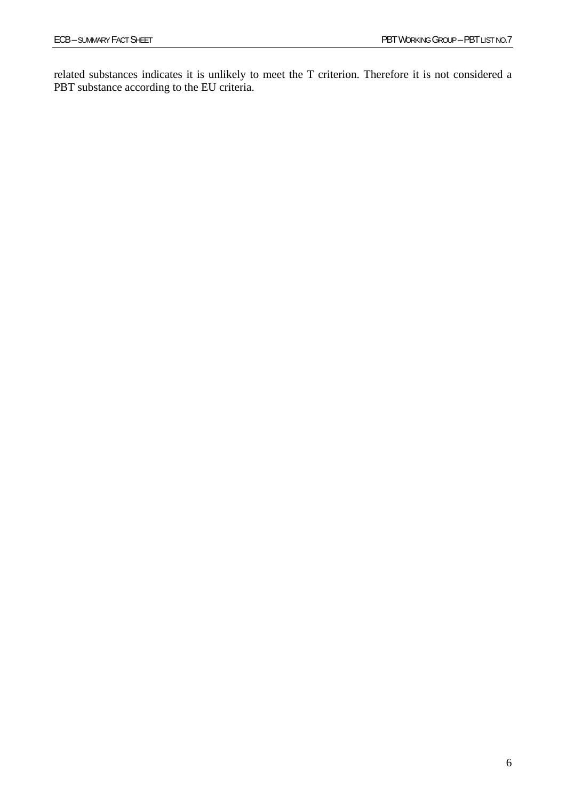related substances indicates it is unlikely to meet the T criterion. Therefore it is not considered a PBT substance according to the EU criteria.